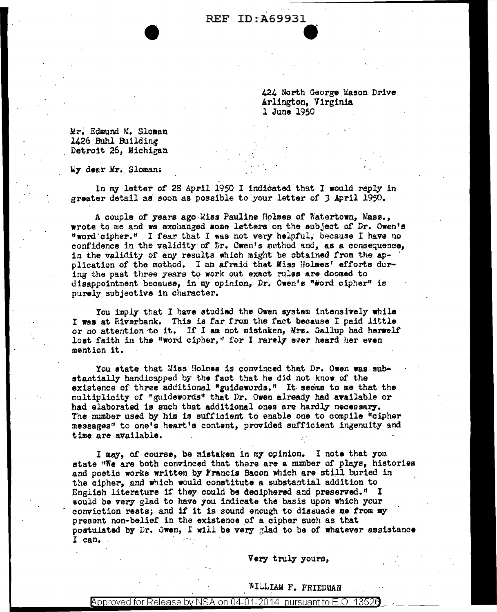REF ID: A69931 **C** 

> 424 North George Uason Drive Arlington, Virginia 1 June 1950

Mr. Edmund M. Sloman 1426 Buhl Building Detroit 26, Michigan

M7 dear Mr •. Sloman:

In my letter of 28 April l95Q I indicated that I would.reply in greater detail as soon as possible to your letter of 3 April 1950.

A couple of years ago Miss Pauline Holmes of Watertown, Mass., wrote to me and we exchanged some letters on the subject of Dr. Owen's "word cipher." I fear that I was not very helpful, because I have no confidence in the validity of *Dr.* Owen's method and, as a consequence, in the validity of any results which might be obtained from the application of the method. I am afraid that Miss Holmes' efforts during the past three years to work out exact rules are doomed to disappointment because, in my opinion, Dr. Owen's "#ord cipher" is purely subjective in character.

You imply that I have studied the Owen system intensively while I waa at Rivsrbank. This is far from the fact because I paid little or no attention to it. If I am not mistaken, Mrs. Gallup had herself lost faith in the "word cipher," for I rarely ever heard her even mention it. ·

You state that Miss Holmes is convinced that Dr. Owen was substantially handicapped by the fact that he did not know of the existence of three additional "guidewords." It seems to me that the multiplicity of "guidewords" that Dr. Owen already had available or had elaborated is such that additional ones are hardly necessary. The number used by him is sufficient to enable one to compile "cipher messages" to one's heart's content., provided sufficient ingenuity and time are available.

I may, of course, be mistaken in my opinion. I note that you state "We are both convinced that there are a number of plays, histories and poetic works written by Francis Bacon which are still buried in the cipher, and which would constitute a substantial addition to English literature if they could be deciphered and preserved." I would be very glad to have you indicate the basis upon which your conviction rests; and if it is sound enough to dissuade me from my present non-belief in the existence of a cipher such as that postulated by Dr. Owen, I will be very glad to be of whatever assistance I can.

Very truly yours,

## iILLIAM F. FRIEPMAN

## Approved for Release by NSA on 04-01-2014 pursuant to E.O. 13526